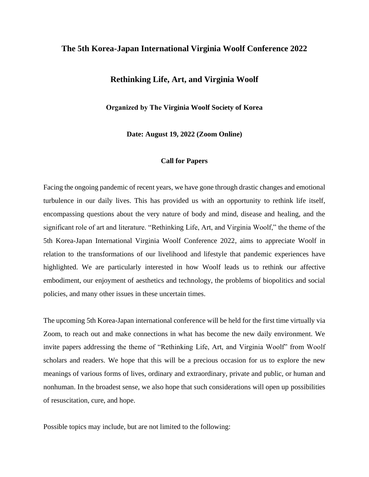## **The 5th Korea-Japan International Virginia Woolf Conference 2022**

## **Rethinking Life, Art, and Virginia Woolf**

**Organized by The Virginia Woolf Society of Korea** 

**Date: August 19, 2022 (Zoom Online)**

## **Call for Papers**

Facing the ongoing pandemic of recent years, we have gone through drastic changes and emotional turbulence in our daily lives. This has provided us with an opportunity to rethink life itself, encompassing questions about the very nature of body and mind, disease and healing, and the significant role of art and literature. "Rethinking Life, Art, and Virginia Woolf," the theme of the 5th Korea-Japan International Virginia Woolf Conference 2022, aims to appreciate Woolf in relation to the transformations of our livelihood and lifestyle that pandemic experiences have highlighted. We are particularly interested in how Woolf leads us to rethink our affective embodiment, our enjoyment of aesthetics and technology, the problems of biopolitics and social policies, and many other issues in these uncertain times.

The upcoming 5th Korea-Japan international conference will be held for the first time virtually via Zoom, to reach out and make connections in what has become the new daily environment. We invite papers addressing the theme of "Rethinking Life, Art, and Virginia Woolf" from Woolf scholars and readers. We hope that this will be a precious occasion for us to explore the new meanings of various forms of lives, ordinary and extraordinary, private and public, or human and nonhuman. In the broadest sense, we also hope that such considerations will open up possibilities of resuscitation, cure, and hope.

Possible topics may include, but are not limited to the following: